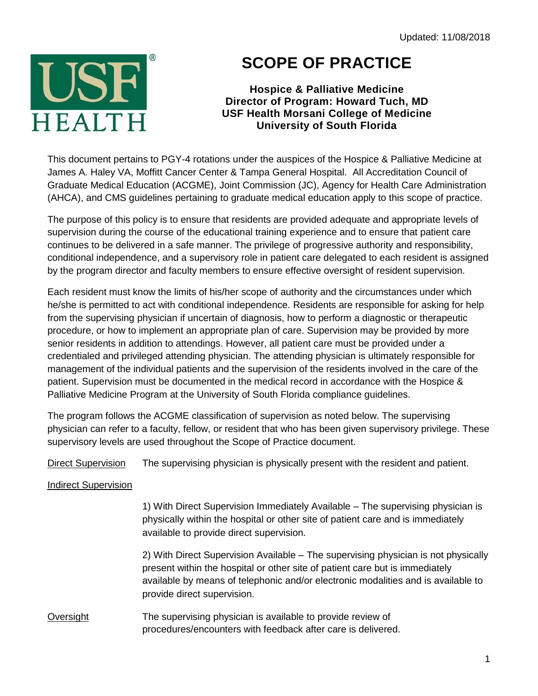Updated: 11/08/2018



## **SCOPE OF PRACTICE**

## **Hospice & Palliative Medicine Director of Program: Howard Tuch, MD USF Health Morsani College of Medicine University of South Florida**

This document pertains to PGY-4 rotations under the auspices of the Hospice & Palliative Medicine at James A. Haley VA, Moffitt Cancer Center & Tampa General Hospital. All Accreditation Council of Graduate Medical Education (ACGME), Joint Commission (JC), Agency for Health Care Administration (AHCA), and CMS guidelines pertaining to graduate medical education apply to this scope of practice.

The purpose of this policy is to ensure that residents are provided adequate and appropriate levels of supervision during the course of the educational training experience and to ensure that patient care continues to be delivered in a safe manner. The privilege of progressive authority and responsibility, conditional independence, and a supervisory role in patient care delegated to each resident is assigned by the program director and faculty members to ensure effective oversight of resident supervision.

Each resident must know the limits of his/her scope of authority and the circumstances under which he/she is permitted to act with conditional independence. Residents are responsible for asking for help from the supervising physician if uncertain of diagnosis, how to perform a diagnostic or therapeutic procedure, or how to implement an appropriate plan of care. Supervision may be provided by more senior residents in addition to attendings. However, all patient care must be provided under a credentialed and privileged attending physician. The attending physician is ultimately responsible for management of the individual patients and the supervision of the residents involved in the care of the patient. Supervision must be documented in the medical record in accordance with the Hospice & Palliative Medicine Program at the University of South Florida compliance guidelines.

The program follows the ACGME classification of supervision as noted below. The supervising physician can refer to a faculty, fellow, or resident that who has been given supervisory privilege. These supervisory levels are used throughout the Scope of Practice document.

Direct Supervision The supervising physician is physically present with the resident and patient.

## Indirect Supervision

1) With Direct Supervision Immediately Available – The supervising physician is physically within the hospital or other site of patient care and is immediately available to provide direct supervision.

2) With Direct Supervision Available – The supervising physician is not physically present within the hospital or other site of patient care but is immediately available by means of telephonic and/or electronic modalities and is available to provide direct supervision.

## Oversight The supervising physician is available to provide review of procedures/encounters with feedback after care is delivered.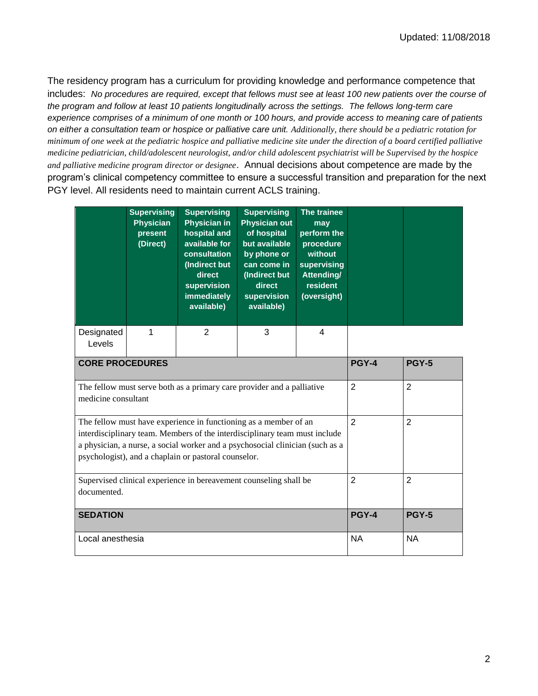The residency program has a curriculum for providing knowledge and performance competence that includes: *No procedures are required, except that fellows must see at least 100 new patients over the course of the program and follow at least 10 patients longitudinally across the settings. The fellows long-term care experience comprises of a minimum of one month or 100 hours, and provide access to meaning care of patients on either a consultation team or hospice or palliative care unit. Additionally, there should be a pediatric rotation for minimum of one week at the pediatric hospice and palliative medicine site under the direction of a board certified palliative medicine pediatrician, child/adolescent neurologist, and/or child adolescent psychiatrist will be Supervised by the hospice and palliative medicine program director or designee*. Annual decisions about competence are made by the program's clinical competency committee to ensure a successful transition and preparation for the next PGY level. All residents need to maintain current ACLS training.

|                                                                                                                                                                                                                                                                                         | <b>Supervising</b><br><b>Physician</b><br>present<br>(Direct) | <b>Supervising</b><br><b>Physician in</b><br>hospital and<br>available for<br>consultation<br>(Indirect but<br>direct<br>supervision<br><b>immediately</b><br>available) | <b>Supervising</b><br><b>Physician out</b><br>of hospital<br>but available<br>by phone or<br>can come in<br>(Indirect but<br>direct<br>supervision<br>available) | The trainee<br>may<br>perform the<br>procedure<br>without<br>supervising<br>Attending/<br>resident<br>(oversight) |                |                |
|-----------------------------------------------------------------------------------------------------------------------------------------------------------------------------------------------------------------------------------------------------------------------------------------|---------------------------------------------------------------|--------------------------------------------------------------------------------------------------------------------------------------------------------------------------|------------------------------------------------------------------------------------------------------------------------------------------------------------------|-------------------------------------------------------------------------------------------------------------------|----------------|----------------|
| Designated<br>Levels                                                                                                                                                                                                                                                                    | 1                                                             | $\overline{2}$                                                                                                                                                           | 3                                                                                                                                                                | 4                                                                                                                 |                |                |
| <b>CORE PROCEDURES</b>                                                                                                                                                                                                                                                                  |                                                               |                                                                                                                                                                          |                                                                                                                                                                  |                                                                                                                   | <b>PGY-4</b>   | <b>PGY-5</b>   |
| The fellow must serve both as a primary care provider and a palliative<br>medicine consultant                                                                                                                                                                                           |                                                               |                                                                                                                                                                          |                                                                                                                                                                  |                                                                                                                   | $\overline{2}$ | $\overline{2}$ |
| The fellow must have experience in functioning as a member of an<br>interdisciplinary team. Members of the interdisciplinary team must include<br>a physician, a nurse, a social worker and a psychosocial clinician (such as a<br>psychologist), and a chaplain or pastoral counselor. |                                                               |                                                                                                                                                                          |                                                                                                                                                                  |                                                                                                                   | $\overline{2}$ | $\overline{2}$ |
| Supervised clinical experience in bereavement counseling shall be<br>documented.                                                                                                                                                                                                        |                                                               |                                                                                                                                                                          |                                                                                                                                                                  |                                                                                                                   | $\overline{2}$ | $\overline{2}$ |
| <b>SEDATION</b>                                                                                                                                                                                                                                                                         |                                                               |                                                                                                                                                                          |                                                                                                                                                                  |                                                                                                                   | <b>PGY-4</b>   | <b>PGY-5</b>   |
| Local anesthesia                                                                                                                                                                                                                                                                        |                                                               |                                                                                                                                                                          |                                                                                                                                                                  |                                                                                                                   | <b>NA</b>      | <b>NA</b>      |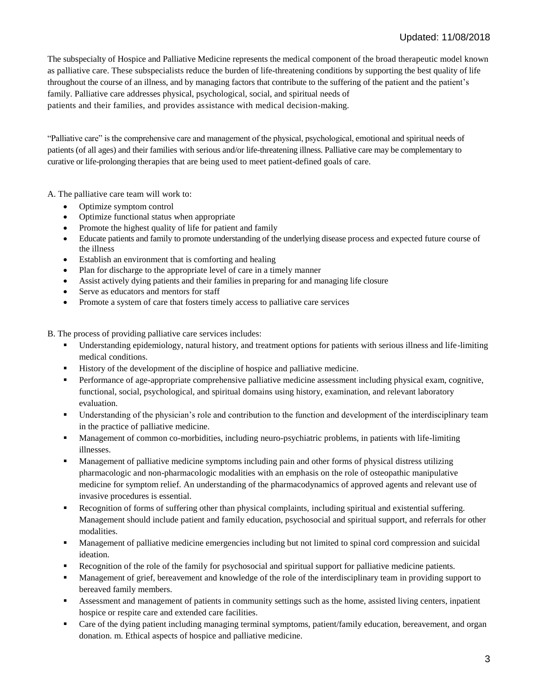The subspecialty of Hospice and Palliative Medicine represents the medical component of the broad therapeutic model known as palliative care. These subspecialists reduce the burden of life-threatening conditions by supporting the best quality of life throughout the course of an illness, and by managing factors that contribute to the suffering of the patient and the patient's family. Palliative care addresses physical, psychological, social, and spiritual needs of patients and their families, and provides assistance with medical decision-making.

"Palliative care" is the comprehensive care and management of the physical, psychological, emotional and spiritual needs of patients (of all ages) and their families with serious and/or life-threatening illness. Palliative care may be complementary to curative or life-prolonging therapies that are being used to meet patient-defined goals of care.

A. The palliative care team will work to:

- Optimize symptom control
- Optimize functional status when appropriate
- Promote the highest quality of life for patient and family
- Educate patients and family to promote understanding of the underlying disease process and expected future course of the illness
- Establish an environment that is comforting and healing
- Plan for discharge to the appropriate level of care in a timely manner
- Assist actively dying patients and their families in preparing for and managing life closure
- Serve as educators and mentors for staff
- Promote a system of care that fosters timely access to palliative care services

B. The process of providing palliative care services includes:

- Understanding epidemiology, natural history, and treatment options for patients with serious illness and life-limiting medical conditions.
- History of the development of the discipline of hospice and palliative medicine.
- **Performance of age-appropriate comprehensive palliative medicine assessment including physical exam, cognitive,** functional, social, psychological, and spiritual domains using history, examination, and relevant laboratory evaluation.
- Understanding of the physician's role and contribution to the function and development of the interdisciplinary team in the practice of palliative medicine.
- Management of common co-morbidities, including neuro-psychiatric problems, in patients with life-limiting illnesses.
- Management of palliative medicine symptoms including pain and other forms of physical distress utilizing pharmacologic and non-pharmacologic modalities with an emphasis on the role of osteopathic manipulative medicine for symptom relief. An understanding of the pharmacodynamics of approved agents and relevant use of invasive procedures is essential.
- Recognition of forms of suffering other than physical complaints, including spiritual and existential suffering. Management should include patient and family education, psychosocial and spiritual support, and referrals for other modalities.
- Management of palliative medicine emergencies including but not limited to spinal cord compression and suicidal ideation.
- Recognition of the role of the family for psychosocial and spiritual support for palliative medicine patients.
- Management of grief, bereavement and knowledge of the role of the interdisciplinary team in providing support to bereaved family members.
- Assessment and management of patients in community settings such as the home, assisted living centers, inpatient hospice or respite care and extended care facilities.
- Care of the dying patient including managing terminal symptoms, patient/family education, bereavement, and organ donation. m. Ethical aspects of hospice and palliative medicine.